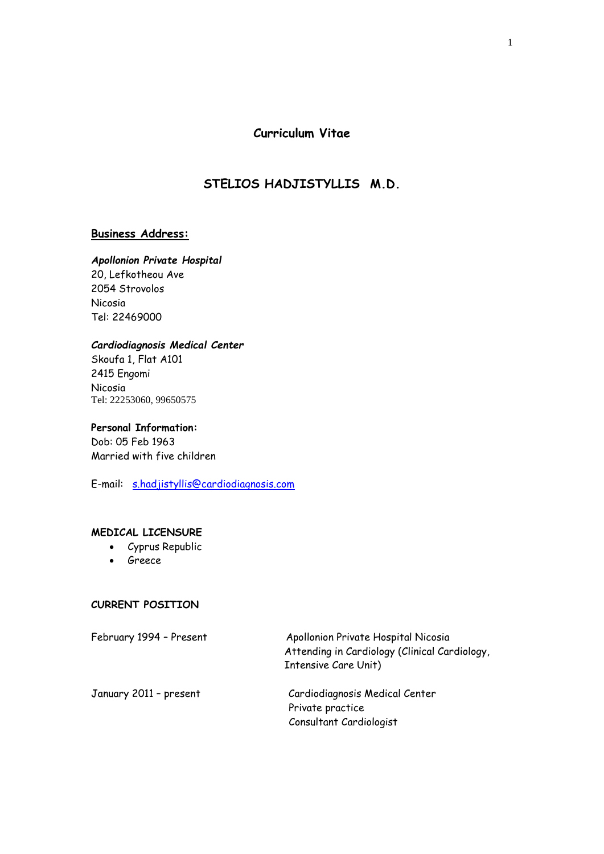**Curriculum Vitae**

# **STELIOS HADJISTYLLIS M.D.**

#### **Business Address:**

#### *Apollonion Private Hospital*

20, Lefkotheou Ave 2054 Strovolos Nicosia Tel: 22469000

#### *Cardiodiagnosis Medical Center*

Skoufa 1, Flat A101 2415 Engomi Nicosia Tel: 22253060, 99650575

# **Personal Information:**

Dob: 05 Feb 1963 Married with five children

E-mail: [s.hadjistyllis@cardiodiagnosis.com](mailto:s.hadjistyllis@cardiodiagnosis.com)

#### **MEDICAL LICENSURE**

- Cyprus Republic
- Greece

### **CURRENT POSITION**

| February 1994 - Present | Apollonion Private Hospital Nicosia<br>Attending in Cardiology (Clinical Cardiology,<br>Intensive Care Unit) |
|-------------------------|--------------------------------------------------------------------------------------------------------------|
| January 2011 - present  | Cardiodiagnosis Medical Center                                                                               |
|                         | Private practice                                                                                             |
|                         | Consultant Cardiologist                                                                                      |